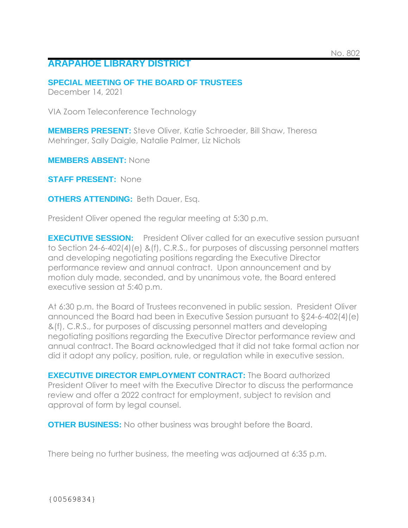## **ARAPAHOE LIBRARY DISTRICT**

**SPECIAL MEETING OF THE BOARD OF TRUSTEES**

December 14, 2021

VIA Zoom Teleconference Technology

**MEMBERS PRESENT:** Steve Oliver, Katie Schroeder, Bill Shaw, Theresa Mehringer, Sally Daigle, Natalie Palmer, Liz Nichols

**MEMBERS ABSENT:** None

**STAFF PRESENT:** None

**OTHERS ATTENDING:** Beth Dauer, Esq.

President Oliver opened the regular meeting at 5:30 p.m.

**EXECUTIVE SESSION:** President Oliver called for an executive session pursuant to Section 24-6-402(4)(e) &(f), C.R.S., for purposes of discussing personnel matters and developing negotiating positions regarding the Executive Director performance review and annual contract. Upon announcement and by motion duly made, seconded, and by unanimous vote, the Board entered executive session at 5:40 p.m.

At 6:30 p.m. the Board of Trustees reconvened in public session. President Oliver announced the Board had been in Executive Session pursuant to §24-6-402(4)(e) &(f), C.R.S., for purposes of discussing personnel matters and developing negotiating positions regarding the Executive Director performance review and annual contract. The Board acknowledged that it did not take formal action nor did it adopt any policy, position, rule, or regulation while in executive session.

**EXECUTIVE DIRECTOR EMPLOYMENT CONTRACT:** The Board authorized President Oliver to meet with the Executive Director to discuss the performance review and offer a 2022 contract for employment, subject to revision and approval of form by legal counsel.

**OTHER BUSINESS:** No other business was brought before the Board.

There being no further business, the meeting was adjourned at 6:35 p.m.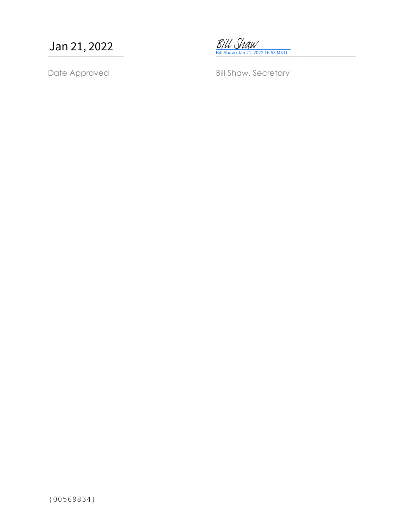Jan 21, 2022



Date Approved Bill Shaw, Secretary